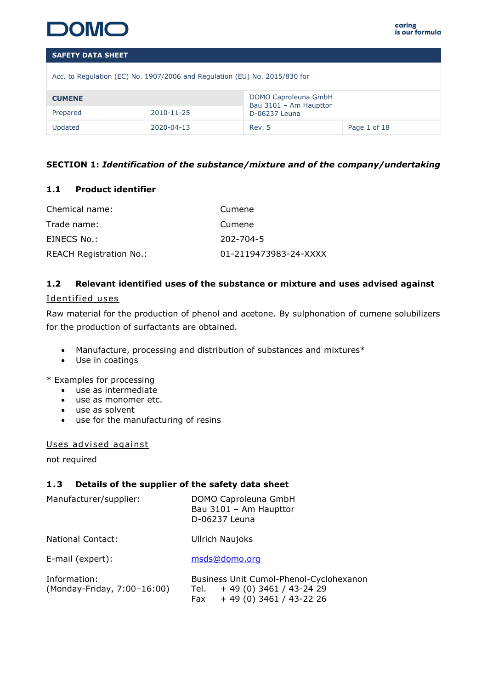

Acc. to Regulation (EC) No. 1907/2006 and Regulation (EU) No. 2015/830 for

| <b>CUMENE</b> |            | DOMO Caproleuna GmbH<br>Bau 3101 - Am Haupttor |              |
|---------------|------------|------------------------------------------------|--------------|
| Prepared      | 2010-11-25 | D-06237 Leuna                                  |              |
| Updated       | 2020-04-13 | Rev. 5                                         | Page 1 of 18 |

# **SECTION 1:** *Identification of the substance/mixture and of the company/undertaking*

# **1.1 Product identifier**

| Chemical name:                 | Cumene                |
|--------------------------------|-----------------------|
| Trade name:                    | Cumene                |
| EINECS No.:                    | $202 - 704 - 5$       |
| <b>REACH Registration No.:</b> | 01-2119473983-24-XXXX |

# **1.2 Relevant identified uses of the substance or mixture and uses advised against**

# Identified uses

Raw material for the production of phenol and acetone. By sulphonation of cumene solubilizers for the production of surfactants are obtained.

- Manufacture, processing and distribution of substances and mixtures\*
- Use in coatings

\* Examples for processing

- use as intermediate
- use as monomer etc.
- use as solvent
- use for the manufacturing of resins

# Uses advised against

not required

# **1 .3 Details of the supplier of the safety data sheet**

| Manufacturer/supplier:                      | DOMO Caproleuna GmbH<br>Bau 3101 - Am Haupttor<br>D-06237 Leuna                                        |
|---------------------------------------------|--------------------------------------------------------------------------------------------------------|
| <b>National Contact:</b>                    | <b>Ullrich Naujoks</b>                                                                                 |
| E-mail (expert):                            | msds@domo.org                                                                                          |
| Information:<br>(Monday-Friday, 7:00-16:00) | Business Unit Cumol-Phenol-Cyclohexanon<br>$+49(0)3461/43-2429$<br>Tel.<br>$+49(0)3461/43-2226$<br>Fax |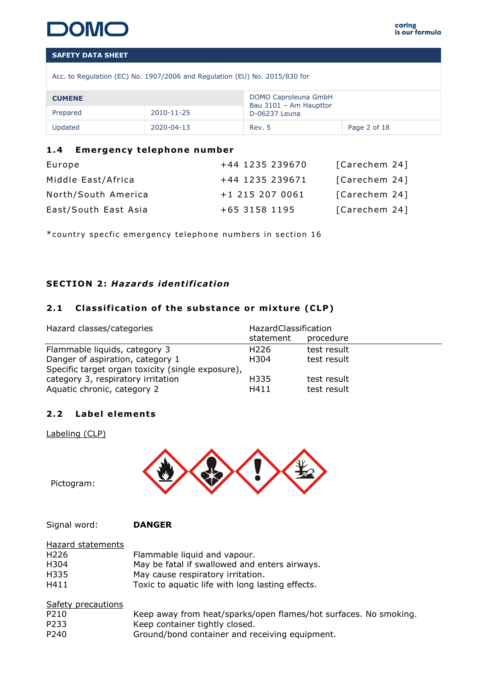

Acc. to Regulation (EC) No. 1907/2006 and Regulation (EU) No. 2015/830 for

| <b>CUMENE</b> |            | DOMO Caproleuna GmbH<br>Bau 3101 - Am Haupttor |              |
|---------------|------------|------------------------------------------------|--------------|
| Prepared      | 2010-11-25 | D-06237 Leuna                                  |              |
| Updated       | 2020-04-13 | Rev. 5                                         | Page 2 of 18 |

# 1.4 **Emergency telephone number**

| Europe               | +44 1235 239670 | [Carechem 24] |
|----------------------|-----------------|---------------|
| Middle East/Africa   | +44 1235 239671 | [Carechem 24] |
| North/South America  | +1 215 207 0061 | [Carechem 24] |
| East/South East Asia | +65 3158 1195   | [Carechem 24] |

\*country specfic emergency telephone numbers in section 16

# **SECTION 2: Hazards identification**

# 2.1 Classification of the substance or mixture (CLP)

| Hazard classes/categories                         | <b>HazardClassification</b> |             |
|---------------------------------------------------|-----------------------------|-------------|
|                                                   | statement                   | procedure   |
| Flammable liquids, category 3                     | H <sub>226</sub>            | test result |
| Danger of aspiration, category 1                  | H304                        | test result |
| Specific target organ toxicity (single exposure), |                             |             |
| category 3, respiratory irritation                | H335                        | test result |
| Aquatic chronic, category 2                       | H411                        | test result |

#### 2.2 Label elements

Labeling (CLP)



Pictogram:

Signal word: **DANGER**

| Hazard statements  |                                                  |
|--------------------|--------------------------------------------------|
| H226               | Flammable liquid and vapour.                     |
| H304               | May be fatal if swallowed and enters airways.    |
| H335               | May cause respiratory irritation.                |
| H411               | Toxic to aquatic life with long lasting effects. |
| Safety precautions |                                                  |

| <u>Suicty precudenties</u> |                                                                  |
|----------------------------|------------------------------------------------------------------|
| P210                       | Keep away from heat/sparks/open flames/hot surfaces. No smoking. |
| P233                       | Keep container tightly closed.                                   |
| P240                       | Ground/bond container and receiving equipment.                   |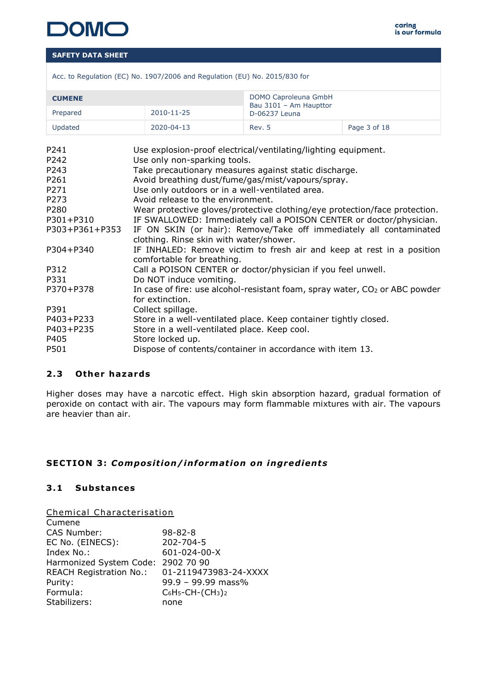

| Acc. to Regulation (EC) No. 1907/2006 and Regulation (EU) No. 2015/830 for |  |  |  |
|----------------------------------------------------------------------------|--|--|--|
|                                                                            |  |  |  |

| <b>CUMENE</b> |            | DOMO Caproleuna GmbH                    |              |
|---------------|------------|-----------------------------------------|--------------|
| Prepared      | 2010-11-25 | Bau 3101 - Am Haupttor<br>D-06237 Leuna |              |
| Updated       | 2020-04-13 | Rev. 5                                  | Page 3 of 18 |

| P241             | Use explosion-proof electrical/ventilating/lighting equipment.                |
|------------------|-------------------------------------------------------------------------------|
| P242             | Use only non-sparking tools.                                                  |
| P <sub>243</sub> | Take precautionary measures against static discharge.                         |
| P261             | Avoid breathing dust/fume/gas/mist/vapours/spray.                             |
| P <sub>271</sub> | Use only outdoors or in a well-ventilated area.                               |
| P273             | Avoid release to the environment.                                             |
| P280             | Wear protective gloves/protective clothing/eye protection/face protection.    |
| P301+P310        | IF SWALLOWED: Immediately call a POISON CENTER or doctor/physician.           |
| P303+P361+P353   | IF ON SKIN (or hair): Remove/Take off immediately all contaminated            |
|                  | clothing. Rinse skin with water/shower.                                       |
| P304+P340        | IF INHALED: Remove victim to fresh air and keep at rest in a position         |
|                  | comfortable for breathing.                                                    |
| P312             | Call a POISON CENTER or doctor/physician if you feel unwell.                  |
| P331             | Do NOT induce vomiting.                                                       |
| P370+P378        | In case of fire: use alcohol-resistant foam, spray water, $CO2$ or ABC powder |
|                  | for extinction.                                                               |
| P391             | Collect spillage.                                                             |
| P403+P233        | Store in a well-ventilated place. Keep container tightly closed.              |
| P403+P235        | Store in a well-ventilated place. Keep cool.                                  |
| P405             | Store locked up.                                                              |
| P501             | Dispose of contents/container in accordance with item 13.                     |
|                  |                                                                               |

# **2 .3 Other hazards**

Higher doses may have a narcotic effect. High skin absorption hazard, gradual formation of peroxide on contact with air. The vapours may form flammable mixtures with air. The vapours are heavier than air.

# SECTION 3: Composition/information on ingredients

# **3 .1 Substances**

Chemical Characterisation

| Cumene                         |                          |
|--------------------------------|--------------------------|
| CAS Number:                    | $98 - 82 - 8$            |
| EC No. (EINECS):               | 202-704-5                |
| Index No.:                     | 601-024-00-X             |
| Harmonized System Code:        | 2902 70 90               |
| <b>REACH Registration No.:</b> | 01-2119473983-24-XXXX    |
| Purity:                        | 99.9 - 99.99 mass%       |
| Formula:                       | $C_6H_5$ -CH- $(CH_3)_2$ |
| Stabilizers:                   | none                     |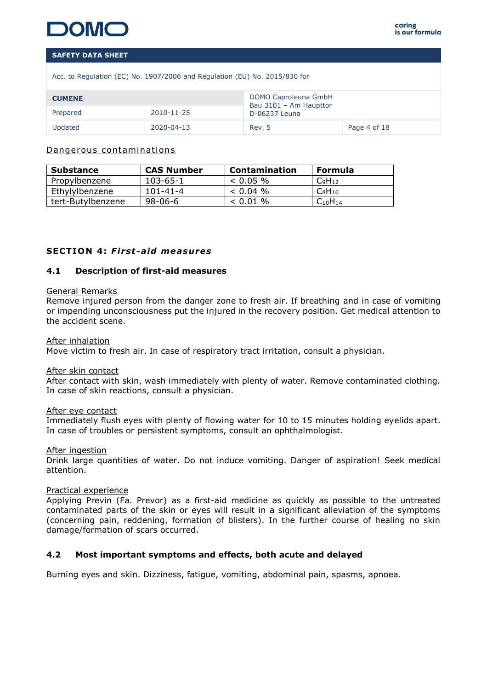

Acc. to Regulation (EC) No. 1907/2006 and Regulation (EU) No. 2015/830 for

| <b>CUMENE</b> |            | DOMO Caproleuna GmbH<br>Bau 3101 - Am Haupttor |              |
|---------------|------------|------------------------------------------------|--------------|
| Prepared      | 2010-11-25 | D-06237 Leuna                                  |              |
| Updated       | 2020-04-13 | Rev. 5                                         | Page 4 of 18 |

#### Dangerous contaminations

| <b>Substance</b>  | <b>CAS Number</b> | <b>Contamination</b> | Formula        |
|-------------------|-------------------|----------------------|----------------|
| Propylbenzene     | 103-65-1          | $< 0.05 \%$          | $C_9H_{12}$    |
| Ethylylbenzene    | 101-41-4          | $< 0.04$ %           | $C_8H_{10}$    |
| tert-Butylbenzene | 98-06-6           | $< 0.01$ %           | $C_{10}H_{14}$ |

#### **SECTION 4: First-aid measures**

#### **4.1 Description of first-aid measures**

#### General Remarks

Remove injured person from the danger zone to fresh air. If breathing and in case of vomiting or impending unconsciousness put the injured in the recovery position. Get medical attention to the accident scene.

#### After inhalation

Move victim to fresh air. In case of respiratory tract irritation, consult a physician.

#### After skin contact

After contact with skin, wash immediately with plenty of water. Remove contaminated clothing. In case of skin reactions, consult a physician.

#### After eye contact

Immediately flush eyes with plenty of flowing water for 10 to 15 minutes holding eyelids apart. In case of troubles or persistent symptoms, consult an ophthalmologist.

#### After ingestion

Drink large quantities of water. Do not induce vomiting. Danger of aspiration! Seek medical attention.

#### Practical experience

Applying Previn (Fa. Prevor) as a first-aid medicine as quickly as possible to the untreated contaminated parts of the skin or eyes will result in a significant alleviation of the symptoms (concerning pain, reddening, formation of blisters). In the further course of healing no skin damage/formation of scars occurred.

#### **4.2 Most important symptoms and effects, both acute and delayed**

Burning eyes and skin. Dizziness, fatigue, vomiting, abdominal pain, spasms, apnoea.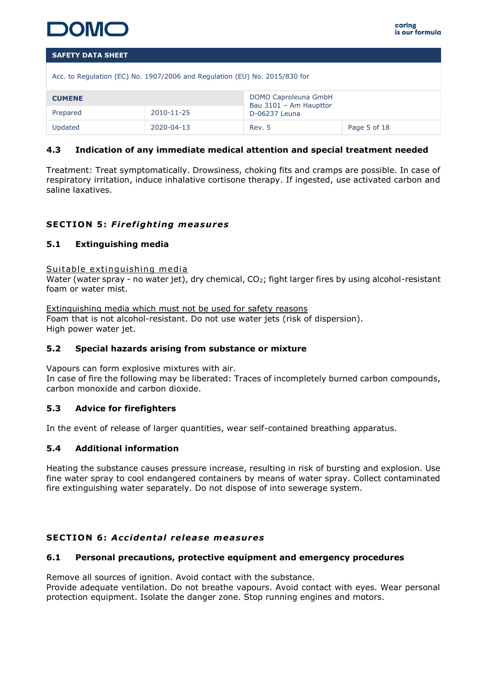

| Acc. to Regulation (EC) No. 1907/2006 and Regulation (EU) No. 2015/830 for |            |                                                |              |  |
|----------------------------------------------------------------------------|------------|------------------------------------------------|--------------|--|
| <b>CUMENE</b>                                                              |            | DOMO Caproleuna GmbH<br>Bau 3101 - Am Haupttor |              |  |
| Prepared                                                                   | 2010-11-25 | D-06237 Leuna                                  |              |  |
| Updated                                                                    | 2020-04-13 | Rev. 5                                         | Page 5 of 18 |  |

# **4.3 Indication of any immediate medical attention and special treatment needed**

Treatment: Treat symptomatically. Drowsiness, choking fits and cramps are possible. In case of respiratory irritation, induce inhalative cortisone therapy. If ingested, use activated carbon and saline laxatives.

# **SECTION 5: Firefighting measures**

# **5.1 Extinguishing media**

#### Suitable extinguishing media

Water (water spray - no water jet), dry chemical, CO<sub>2</sub>; fight larger fires by using alcohol-resistant foam or water mist.

Extinguishing media which must not be used for safety reasons Foam that is not alcohol-resistant. Do not use water jets (risk of dispersion). High power water jet.

#### **5.2 Special hazards arising from substance or mixture**

Vapours can form explosive mixtures with air.

In case of fire the following may be liberated: Traces of incompletely burned carbon compounds, carbon monoxide and carbon dioxide.

#### **5.3 Advice for firefighters**

In the event of release of larger quantities, wear self-contained breathing apparatus.

#### **5.4 Additional information**

Heating the substance causes pressure increase, resulting in risk of bursting and explosion. Use fine water spray to cool endangered containers by means of water spray. Collect contaminated fire extinguishing water separately. Do not dispose of into sewerage system.

# **SECTION 6 :** *Acc identa l re lease measures*

#### **6.1 Personal precautions, protective equipment and emergency procedures**

Remove all sources of ignition. Avoid contact with the substance.

Provide adequate ventilation. Do not breathe vapours. Avoid contact with eyes. Wear personal protection equipment. Isolate the danger zone. Stop running engines and motors.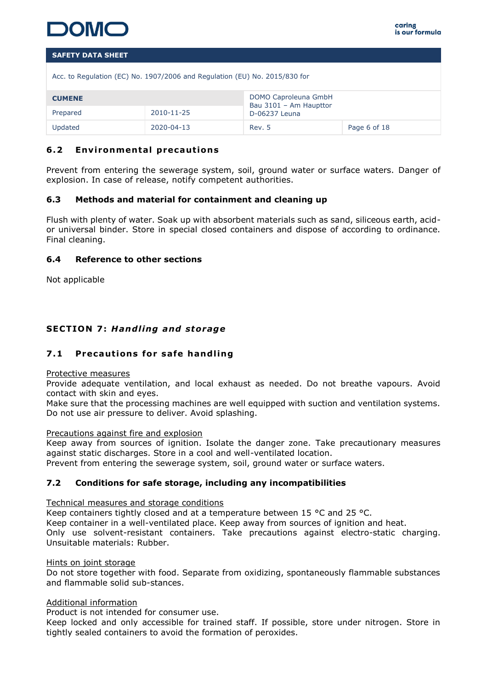

Acc. to Regulation (EC) No. 1907/2006 and Regulation (EU) No. 2015/830 for

| <b>CUMENE</b> |            | DOMO Caproleuna GmbH<br>Bau 3101 - Am Haupttor |              |
|---------------|------------|------------------------------------------------|--------------|
| Prepared      | 2010-11-25 | D-06237 Leuna                                  |              |
| Updated       | 2020-04-13 | Rev. 5                                         | Page 6 of 18 |

# **6.2 Environmental precautions**

Prevent from entering the sewerage system, soil, ground water or surface waters. Danger of explosion. In case of release, notify competent authorities.

#### **6.3 Methods and material for containment and cleaning up**

Flush with plenty of water. Soak up with absorbent materials such as sand, siliceous earth, acidor universal binder. Store in special closed containers and dispose of according to ordinance. Final cleaning.

#### **6.4 Reference to other sections**

Not applicable

# **SECTION 7: Handling and storage**

# **7.1 Precautions for safe handling**

#### Protective measures

Provide adequate ventilation, and local exhaust as needed. Do not breathe vapours. Avoid contact with skin and eyes.

Make sure that the processing machines are well equipped with suction and ventilation systems. Do not use air pressure to deliver. Avoid splashing.

#### Precautions against fire and explosion

Keep away from sources of ignition. Isolate the danger zone. Take precautionary measures against static discharges. Store in a cool and well-ventilated location. Prevent from entering the sewerage system, soil, ground water or surface waters.

#### **7.2 Conditions for safe storage, including any incompatibilities**

#### Technical measures and storage conditions

Keep containers tightly closed and at a temperature between 15 °C and 25 °C. Keep container in a well-ventilated place. Keep away from sources of ignition and heat. Only use solvent-resistant containers. Take precautions against electro-static charging. Unsuitable materials: Rubber.

#### Hints on joint storage

Do not store together with food. Separate from oxidizing, spontaneously flammable substances and flammable solid sub-stances.

#### Additional information

Product is not intended for consumer use.

Keep locked and only accessible for trained staff. If possible, store under nitrogen. Store in tightly sealed containers to avoid the formation of peroxides.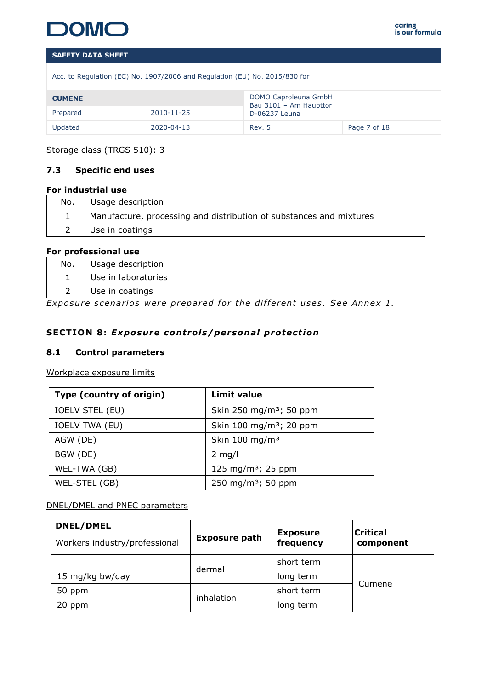

Acc. to Regulation (EC) No. 1907/2006 and Regulation (EU) No. 2015/830 for

| <b>CUMENE</b> |            | DOMO Caproleuna GmbH<br>Bau 3101 - Am Haupttor |              |
|---------------|------------|------------------------------------------------|--------------|
| Prepared      | 2010-11-25 | D-06237 Leuna                                  |              |
| Updated       | 2020-04-13 | Rev. 5                                         | Page 7 of 18 |

Storage class (TRGS 510): 3

# **7.3 Specific end uses**

#### **For industrial use**

| No. | Usage description                                                   |
|-----|---------------------------------------------------------------------|
|     | Manufacture, processing and distribution of substances and mixtures |
|     | Use in coatings                                                     |

# **For professional use**

| Use in laboratories | No. | Usage description |
|---------------------|-----|-------------------|
|                     |     |                   |
| Use in coatings     |     |                   |

*Exposure scenarios were prepared for the different uses. See Annex 1.* 

# **SECTION 8: Exposure controls/personal protection**

#### **8.1 Control parameters**

Workplace exposure limits

| Type (country of origin) | <b>Limit value</b>                  |
|--------------------------|-------------------------------------|
| <b>IOELV STEL (EU)</b>   | Skin 250 mg/m <sup>3</sup> ; 50 ppm |
| <b>IOELV TWA (EU)</b>    | Skin 100 mg/m <sup>3</sup> ; 20 ppm |
| AGW (DE)                 | Skin 100 mg/m <sup>3</sup>          |
| BGW (DE)                 | $2$ mg/l                            |
| WEL-TWA (GB)             | 125 mg/m <sup>3</sup> ; 25 ppm      |
| WEL-STEL (GB)            | 250 mg/m <sup>3</sup> ; 50 ppm      |

## DNEL/DMEL and PNEC parameters

| <b>DNEL/DMEL</b>              |                      |                              |                              |
|-------------------------------|----------------------|------------------------------|------------------------------|
| Workers industry/professional | <b>Exposure path</b> | <b>Exposure</b><br>frequency | <b>Critical</b><br>component |
|                               |                      | short term                   |                              |
| 15 mg/kg bw/day               | dermal               | long term                    | Cumene                       |
| 50 ppm                        | inhalation           | short term                   |                              |
| 20 ppm                        |                      | long term                    |                              |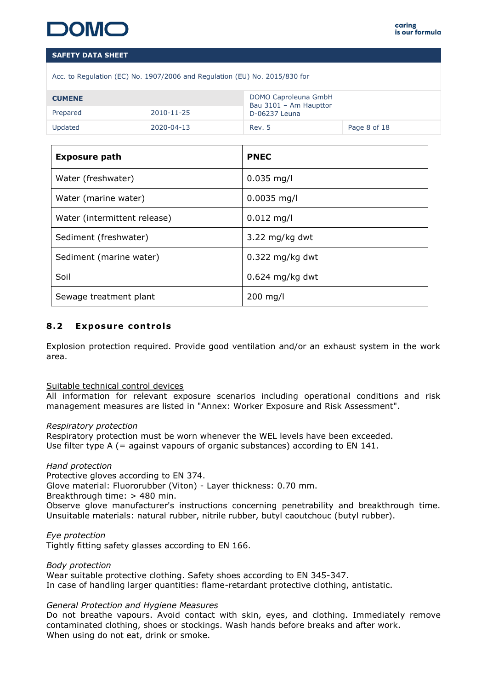|  |  | Acc. to Regulation (EC) No. 1907/2006 and Regulation (EU) No. 2015/830 for |  |
|--|--|----------------------------------------------------------------------------|--|

| <b>CUMENE</b> |            | DOMO Caproleuna GmbH<br>Bau 3101 - Am Haupttor |              |
|---------------|------------|------------------------------------------------|--------------|
| Prepared      | 2010-11-25 | D-06237 Leuna                                  |              |
| Updated       | 2020-04-13 | Rev. 5                                         | Page 8 of 18 |

| <b>Exposure path</b>         | <b>PNEC</b>              |
|------------------------------|--------------------------|
| Water (freshwater)           | $0.035$ mg/l             |
| Water (marine water)         | $0.0035$ mg/l            |
| Water (intermittent release) | $0.012$ mg/l             |
| Sediment (freshwater)        | $3.22 \text{ mg/kg}$ dwt |
| Sediment (marine water)      | $0.322$ mg/kg dwt        |
| Soil                         | $0.624$ mg/kg dwt        |
| Sewage treatment plant       | $200$ mg/l               |

# **8.2 Exposure controls**

Explosion protection required. Provide good ventilation and/or an exhaust system in the work area.

#### Suitable technical control devices

All information for relevant exposure scenarios including operational conditions and risk management measures are listed in "Annex: Worker Exposure and Risk Assessment".

#### *Respiratory protection*

Respiratory protection must be worn whenever the WEL levels have been exceeded. Use filter type A (= against vapours of organic substances) according to EN 141.

#### *Hand protection*

Protective gloves according to EN 374.

Glove material: Fluororubber (Viton) - Layer thickness: 0.70 mm.

Breakthrough time: > 480 min.

Observe glove manufacturer's instructions concerning penetrability and breakthrough time. Unsuitable materials: natural rubber, nitrile rubber, butyl caoutchouc (butyl rubber).

*Eye protection*

Tightly fitting safety glasses according to EN 166.

*Body protection*

Wear suitable protective clothing. Safety shoes according to EN 345-347. In case of handling larger quantities: flame-retardant protective clothing, antistatic.

#### *General Protection and Hygiene Measures*

Do not breathe vapours. Avoid contact with skin, eyes, and clothing. Immediately remove contaminated clothing, shoes or stockings. Wash hands before breaks and after work. When using do not eat, drink or smoke.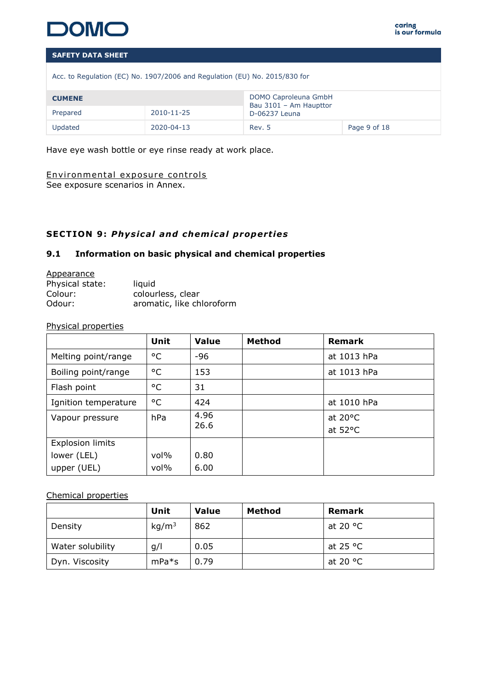

Acc. to Regulation (EC) No. 1907/2006 and Regulation (EU) No. 2015/830 for

| <b>CUMENE</b> |            | DOMO Caproleuna GmbH<br>Bau 3101 - Am Haupttor |              |
|---------------|------------|------------------------------------------------|--------------|
| Prepared      | 2010-11-25 | D-06237 Leuna                                  |              |
| Updated       | 2020-04-13 | Rev. 5                                         | Page 9 of 18 |

Have eye wash bottle or eye rinse ready at work place.

# Environmental exposure controls

See exposure scenarios in Annex.

# **SECTION 9: Physical and chemical properties**

# **9.1 Information on basic physical and chemical properties**

#### **Appearance**

| Physical state: | liquid                    |
|-----------------|---------------------------|
| Colour:         | colourless, clear         |
| Odour:          | aromatic, like chloroform |

#### Physical properties

|                         | Unit    | <b>Value</b> | <b>Method</b> | <b>Remark</b>                          |
|-------------------------|---------|--------------|---------------|----------------------------------------|
| Melting point/range     | °C      | -96          |               | at 1013 hPa                            |
| Boiling point/range     | °C      | 153          |               | at 1013 hPa                            |
| Flash point             | °C      | 31           |               |                                        |
| Ignition temperature    | °C      | 424          |               | at 1010 hPa                            |
| Vapour pressure         | hPa     | 4.96<br>26.6 |               | at $20^{\circ}$ C<br>at $52^{\circ}$ C |
| <b>Explosion limits</b> |         |              |               |                                        |
| lower (LEL)             | $vol\%$ | 0.80         |               |                                        |
| upper (UEL)             | $vol\%$ | 6.00         |               |                                        |

# Chemical properties

|                  | Unit              | Value | Method | Remark            |
|------------------|-------------------|-------|--------|-------------------|
| Density          | kg/m <sup>3</sup> | 862   |        | at 20 °C          |
| Water solubility | g/l               | 0.05  |        | at 25 $\degree$ C |
| Dyn. Viscosity   | $mPa*$ s          | 0.79  |        | at 20 °C          |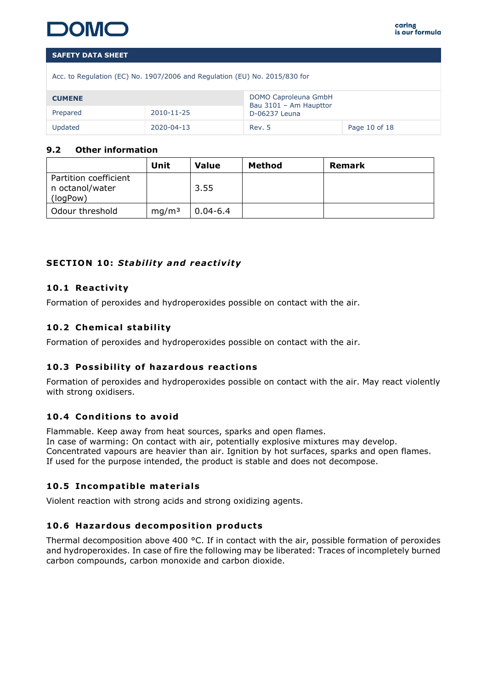

Acc. to Regulation (EC) No. 1907/2006 and Regulation (EU) No. 2015/830 for

| <b>CUMENE</b> |                  | DOMO Caproleuna GmbH<br>Bau 3101 - Am Haupttor |               |
|---------------|------------------|------------------------------------------------|---------------|
| Prepared      | $2010 - 11 - 25$ |                                                |               |
| Updated       | 2020-04-13       | Rev. 5                                         | Page 10 of 18 |

## **9.2 Other information**

|                                                      | Unit              | Value        | Method | Remark |
|------------------------------------------------------|-------------------|--------------|--------|--------|
| Partition coefficient<br>n octanol/water<br>(logPow) |                   | 3.55         |        |        |
| Odour threshold                                      | mq/m <sup>3</sup> | $0.04 - 6.4$ |        |        |

# **SECTION 10: Stability and reactivity**

# **10 .1 React iv ity**

Formation of peroxides and hydroperoxides possible on contact with the air.

# 10.2 Chemical stability

Formation of peroxides and hydroperoxides possible on contact with the air.

# **10.3 Possibility of hazardous reactions**

Formation of peroxides and hydroperoxides possible on contact with the air. May react violently with strong oxidisers.

# 10.4 Conditions to avoid

Flammable. Keep away from heat sources, sparks and open flames. In case of warming: On contact with air, potentially explosive mixtures may develop. Concentrated vapours are heavier than air. Ignition by hot surfaces, sparks and open flames. If used for the purpose intended, the product is stable and does not decompose.

# **10.5 Incompatible materials**

Violent reaction with strong acids and strong oxidizing agents.

# 10.6 **Hazardous decomposition products**

Thermal decomposition above 400  $^{\circ}$ C. If in contact with the air, possible formation of peroxides and hydroperoxides. In case of fire the following may be liberated: Traces of incompletely burned carbon compounds, carbon monoxide and carbon dioxide.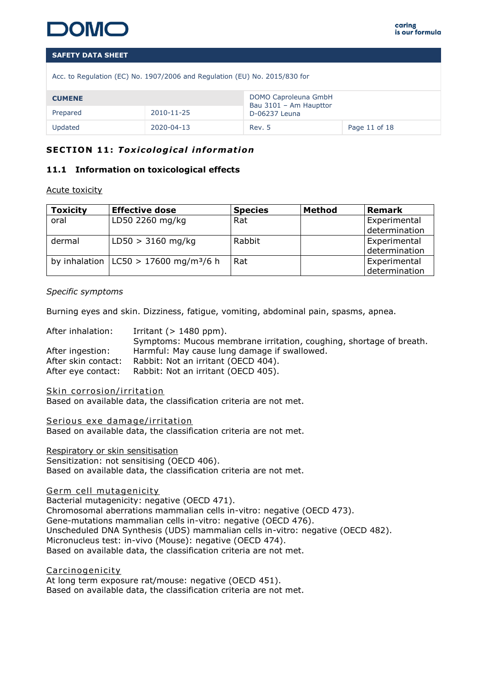

| Acc. to Regulation (EC) No. 1907/2006 and Regulation (EU) No. 2015/830 for |  |
|----------------------------------------------------------------------------|--|
|----------------------------------------------------------------------------|--|

| <b>CUMENE</b>          |            | DOMO Caproleuna GmbH<br>Bau 3101 - Am Haupttor<br>D-06237 Leuna |               |
|------------------------|------------|-----------------------------------------------------------------|---------------|
| 2010-11-25<br>Prepared |            |                                                                 |               |
| Updated                | 2020-04-13 | Rev. 5                                                          | Page 11 of 18 |

# **SECTION 11 :** *Tox ico log ica l informat ion*

# **11.1 Information on toxicological effects**

#### Acute toxicity

| <b>Toxicity</b> | <b>Effective dose</b>                                 | <b>Species</b> | Method | <b>Remark</b> |
|-----------------|-------------------------------------------------------|----------------|--------|---------------|
| oral            | LD50 2260 mg/kg                                       | Rat            |        | Experimental  |
|                 |                                                       |                |        | determination |
| dermal          | $LD50 > 3160$ mg/kg                                   | Rabbit         |        | Experimental  |
|                 |                                                       |                |        | determination |
|                 | by inhalation $ $ LC50 > 17600 mg/m <sup>3</sup> /6 h | Rat            |        | Experimental  |
|                 |                                                       |                |        | determination |

#### *Specific symptoms*

Burning eyes and skin. Dizziness, fatigue, vomiting, abdominal pain, spasms, apnea.

| After inhalation:   | Irritant ( $> 1480$ ppm).                                           |
|---------------------|---------------------------------------------------------------------|
|                     | Symptoms: Mucous membrane irritation, coughing, shortage of breath. |
| After ingestion:    | Harmful: May cause lung damage if swallowed.                        |
| After skin contact: | Rabbit: Not an irritant (OECD 404).                                 |
| After eye contact:  | Rabbit: Not an irritant (OECD 405).                                 |

Skin corrosion/irritation

Based on available data, the classification criteria are not met.

Serious exe damage/irritation Based on available data, the classification criteria are not met.

Respiratory or skin sensitisation Sensitization: not sensitising (OECD 406). Based on available data, the classification criteria are not met.

Germ cell mutagenicity

Bacterial mutagenicity: negative (OECD 471). Chromosomal aberrations mammalian cells in-vitro: negative (OECD 473). Gene-mutations mammalian cells in-vitro: negative (OECD 476). Unscheduled DNA Synthesis (UDS) mammalian cells in-vitro: negative (OECD 482). Micronucleus test: in-vivo (Mouse): negative (OECD 474). Based on available data, the classification criteria are not met.

Carcinogenicity At long term exposure rat/mouse: negative (OECD 451). Based on available data, the classification criteria are not met.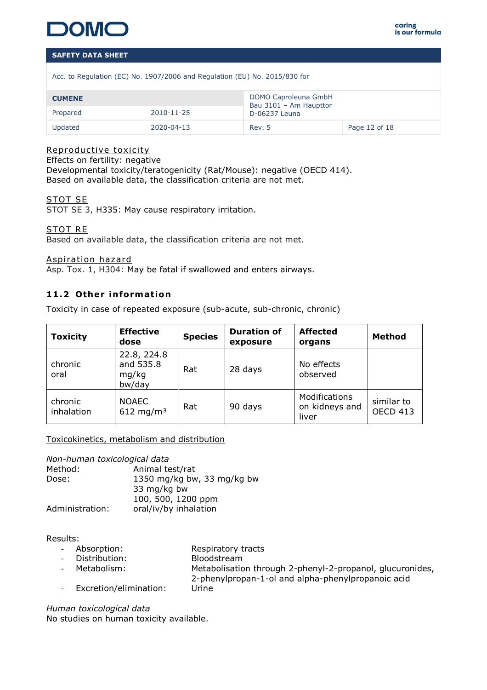

Acc. to Regulation (EC) No. 1907/2006 and Regulation (EU) No. 2015/830 for

| <b>CUMENE</b>                |            | DOMO Caproleuna GmbH<br>Bau 3101 - Am Haupttor<br>D-06237 Leuna |               |
|------------------------------|------------|-----------------------------------------------------------------|---------------|
| $2010 - 11 - 25$<br>Prepared |            |                                                                 |               |
| Updated                      | 2020-04-13 | Rev. 5                                                          | Page 12 of 18 |

#### Reproductive toxicity

Effects on fertility: negative Developmental toxicity/teratogenicity (Rat/Mouse): negative (OECD 414). Based on available data, the classification criteria are not met.

# STOT SE

STOT SE 3, H335: May cause respiratory irritation.

STOT RE

Based on available data, the classification criteria are not met.

Aspiration hazard

Asp. Tox. 1, H304: May be fatal if swallowed and enters airways.

# **11.2 Other information**

Toxicity in case of repeated exposure (sub-acute, sub-chronic, chronic)

| <b>Toxicity</b>       | <b>Effective</b><br>dose                    | <b>Species</b> | <b>Duration of</b><br>exposure | <b>Affected</b><br>organs                | <b>Method</b>                 |
|-----------------------|---------------------------------------------|----------------|--------------------------------|------------------------------------------|-------------------------------|
| chronic<br>oral       | 22.8, 224.8<br>and 535.8<br>mg/kg<br>bw/day | Rat            | 28 days                        | No effects<br>observed                   |                               |
| chronic<br>inhalation | <b>NOAEC</b><br>612 mg/m <sup>3</sup>       | Rat            | 90 days                        | Modifications<br>on kidneys and<br>liver | similar to<br><b>OECD 413</b> |

Toxicokinetics, metabolism and distribution

*Non-human toxicological data*

Method: Animal test/rat Dose: 1350 mg/kg bw, 33 mg/kg bw 33 mg/kg bw 100, 500, 1200 ppm Administration: oral/iv/by inhalation

Results:

| - Absorption:            | Respiratory tracts                                                                                              |
|--------------------------|-----------------------------------------------------------------------------------------------------------------|
| - Distribution:          | Bloodstream                                                                                                     |
| - Metabolism:            | Metabolisation through 2-phenyl-2-propanol, glucuronides,<br>2-phenylpropan-1-ol and alpha-phenylpropanoic acid |
| - Excretion/elimination: | Urine                                                                                                           |

*Human toxicological data* No studies on human toxicity available.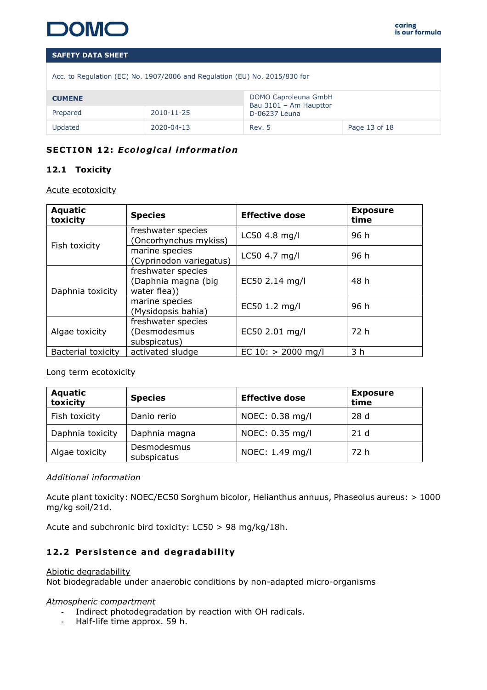

|  |  |  |  |  | Acc. to Regulation (EC) No. 1907/2006 and Regulation (EU) No. 2015/830 for |
|--|--|--|--|--|----------------------------------------------------------------------------|
|  |  |  |  |  |                                                                            |

| <b>CUMENE</b>          |            | DOMO Caproleuna GmbH<br>Bau 3101 - Am Haupttor |               |
|------------------------|------------|------------------------------------------------|---------------|
| 2010-11-25<br>Prepared |            | D-06237 Leuna                                  |               |
| Updated                | 2020-04-13 | Rev. 5                                         | Page 13 of 18 |

# **SECTION 12: Ecological information**

# **12.1 Toxicity**

Acute ecotoxicity

| <b>Aquatic</b><br>toxicity | <b>Species</b>                                            | <b>Effective dose</b> | <b>Exposure</b><br>time |
|----------------------------|-----------------------------------------------------------|-----------------------|-------------------------|
| Fish toxicity              | freshwater species<br>Oncorhynchus mykiss)                | LC50 4.8 mg/l         | 96 h                    |
|                            | marine species<br>Cyprinodon variegatus)                  | LC50 4.7 mg/l         | 96 h                    |
| Daphnia toxicity           | freshwater species<br>(Daphnia magna (big<br>water flea)) | EC50 2.14 mg/l        | 48 h                    |
|                            | marine species<br>(Mysidopsis bahia)                      | EC50 1.2 mg/l         | 96 h                    |
| Algae toxicity             | freshwater species<br>(Desmodesmus<br>subspicatus)        | EC50 2.01 mg/l        | 72 h                    |
| <b>Bacterial toxicity</b>  | activated sludge                                          | EC $10:$ > 2000 mg/l  | 3 h                     |

Long term ecotoxicity

| <b>Aquatic</b><br>toxicity | <b>Species</b>             | <b>Effective dose</b> | <b>Exposure</b><br>time |
|----------------------------|----------------------------|-----------------------|-------------------------|
| Fish toxicity              | Danio rerio                | NOEC: 0.38 mg/l       | 28d                     |
| Daphnia toxicity           | Daphnia magna              | NOEC: 0.35 mg/l       | 21d                     |
| Algae toxicity             | Desmodesmus<br>subspicatus | NOEC: 1.49 mg/l       | 72 h                    |

## *Additional information*

Acute plant toxicity: NOEC/EC50 Sorghum bicolor, Helianthus annuus, Phaseolus aureus: > 1000 mg/kg soil/21d.

Acute and subchronic bird toxicity: LC50 > 98 mg/kg/18h.

# 12.2 Persistence and degradability

#### Abiotic degradability

Not biodegradable under anaerobic conditions by non-adapted micro-organisms

#### *Atmospheric compartment*

- Indirect photodegradation by reaction with OH radicals.
- Half-life time approx. 59 h.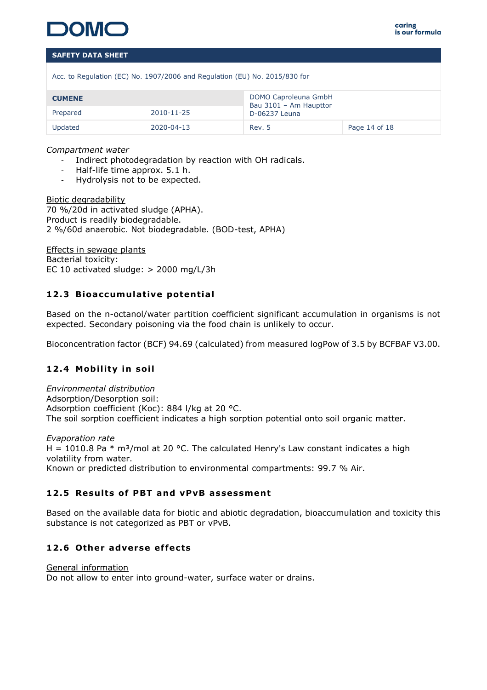

Acc. to Regulation (EC) No. 1907/2006 and Regulation (EU) No. 2015/830 for

| <b>CUMENE</b>          |            | DOMO Caproleuna GmbH<br>Bau 3101 - Am Haupttor |               |
|------------------------|------------|------------------------------------------------|---------------|
| 2010-11-25<br>Prepared |            | D-06237 Leuna                                  |               |
| Updated                | 2020-04-13 | Rev. 5                                         | Page 14 of 18 |

*Compartment water*

- Indirect photodegradation by reaction with OH radicals.
- Half-life time approx. 5.1 h.
- Hydrolysis not to be expected.

Biotic degradability 70 %/20d in activated sludge (APHA). Product is readily biodegradable. 2 %/60d anaerobic. Not biodegradable. (BOD-test, APHA)

Effects in sewage plants Bacterial toxicity: EC 10 activated sludge: > 2000 mg/L/3h

# **12.3 Bioaccumulative potential**

Based on the n-octanol/water partition coefficient significant accumulation in organisms is not expected. Secondary poisoning via the food chain is unlikely to occur.

Bioconcentration factor (BCF) 94.69 (calculated) from measured logPow of 3.5 by BCFBAF V3.00.

# **12.4 Mobility in soil**

*Environmental distribution* Adsorption/Desorption soil: Adsorption coefficient (Koc): 884 l/kg at 20 °C. The soil sorption coefficient indicates a high sorption potential onto soil organic matter.

*Evaporation rate* H = 1010.8 Pa  $*$  m<sup>3</sup>/mol at 20 °C. The calculated Henry's Law constant indicates a high volatility from water. Known or predicted distribution to environmental compartments: 99.7 % Air.

# **12 .5 Resu lts of PBT and vPvB assessment**

Based on the available data for biotic and abiotic degradation, bioaccumulation and toxicity this substance is not categorized as PBT or vPvB.

# **12 .6 Other adverse ef fects**

General information Do not allow to enter into ground-water, surface water or drains.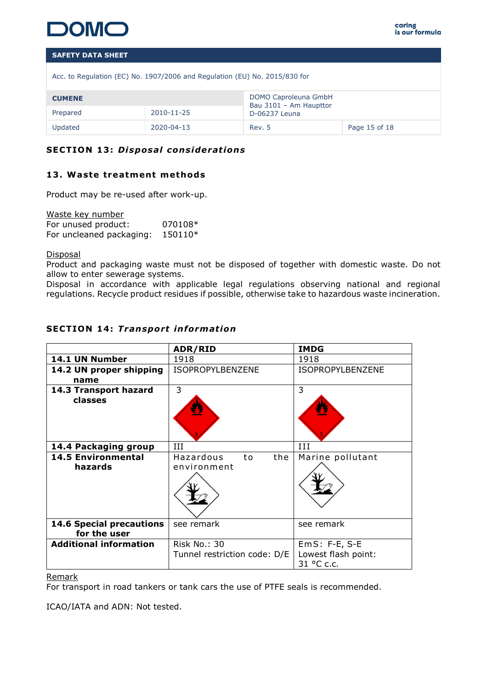

Acc. to Regulation (EC) No. 1907/2006 and Regulation (EU) No. 2015/830 for

| <b>CUMENE</b> |            | DOMO Caproleuna GmbH<br>Bau 3101 - Am Haupttor |               |
|---------------|------------|------------------------------------------------|---------------|
| Prepared      | 2010-11-25 | D-06237 Leuna                                  |               |
| Updated       | 2020-04-13 | Rev. 5                                         | Page 15 of 18 |

# **SECTION 13: Disposal considerations**

# **13 . Waste treatment methods**

Product may be re-used after work-up.

Waste key number For unused product: 070108\* For uncleaned packaging: 150110\*

**Disposal** 

Product and packaging waste must not be disposed of together with domestic waste. Do not allow to enter sewerage systems.

Disposal in accordance with applicable legal regulations observing national and regional regulations. Recycle product residues if possible, otherwise take to hazardous waste incineration.

| 14.1 UN Number<br>1918<br>1918<br>ISOPROPYLBENZENE<br>14.2 UN proper shipping<br>ISOPROPYLBENZENE<br>name<br>3<br>3<br>14.3 Transport hazard<br>classes<br>III<br>ИI<br>14.4 Packaging group<br><b>14.5 Environmental</b><br>Hazardous<br>Marine pollutant<br>the<br>to<br>hazards<br>environment<br><b>14.6 Special precautions</b><br>see remark<br>see remark<br>for the user<br><b>Additional information</b><br><b>Risk No.: 30</b><br>$EmS: F-E, S-E$<br>Lowest flash point:<br>Tunnel restriction code: D/E<br>31 °C c.c. | ADR/RID | <b>IMDG</b> |
|----------------------------------------------------------------------------------------------------------------------------------------------------------------------------------------------------------------------------------------------------------------------------------------------------------------------------------------------------------------------------------------------------------------------------------------------------------------------------------------------------------------------------------|---------|-------------|
|                                                                                                                                                                                                                                                                                                                                                                                                                                                                                                                                  |         |             |
|                                                                                                                                                                                                                                                                                                                                                                                                                                                                                                                                  |         |             |
|                                                                                                                                                                                                                                                                                                                                                                                                                                                                                                                                  |         |             |
|                                                                                                                                                                                                                                                                                                                                                                                                                                                                                                                                  |         |             |
|                                                                                                                                                                                                                                                                                                                                                                                                                                                                                                                                  |         |             |
|                                                                                                                                                                                                                                                                                                                                                                                                                                                                                                                                  |         |             |
|                                                                                                                                                                                                                                                                                                                                                                                                                                                                                                                                  |         |             |
|                                                                                                                                                                                                                                                                                                                                                                                                                                                                                                                                  |         |             |

# **SECTION 14: Transport information**

Remark

For transport in road tankers or tank cars the use of PTFE seals is recommended.

ICAO/IATA and ADN: Not tested.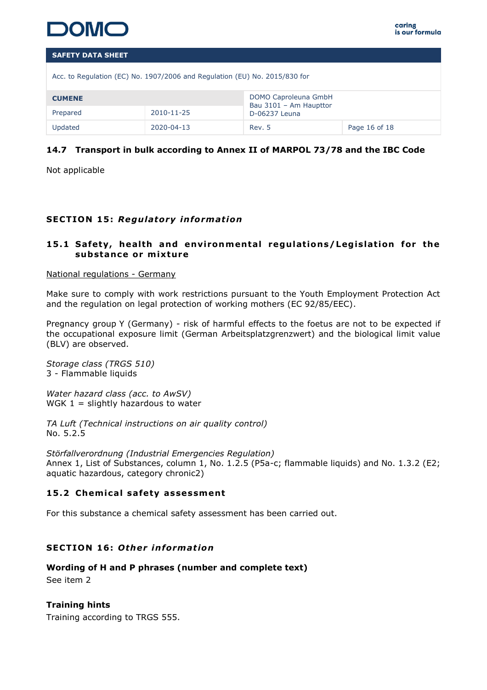

| <b>SAFETY DATA SHEET</b>                                                   |            |                                                |               |  |  |  |
|----------------------------------------------------------------------------|------------|------------------------------------------------|---------------|--|--|--|
| Acc. to Regulation (EC) No. 1907/2006 and Regulation (EU) No. 2015/830 for |            |                                                |               |  |  |  |
| <b>CUMENE</b>                                                              |            | DOMO Caproleuna GmbH<br>Bau 3101 - Am Haupttor |               |  |  |  |
| 2010-11-25<br>Prepared                                                     |            | D-06237 Leuna                                  |               |  |  |  |
| Updated                                                                    | 2020-04-13 | Rev. 5                                         | Page 16 of 18 |  |  |  |

# **14.7 Transport in bulk according to Annex II of MARPOL 73/78 and the IBC Code**

Not applicable

# **SECTION 15: Regulatory information**

# 15.1 Safety, health and environmental regulations/Legislation for the **substance or m ixture**

#### National regulations - Germany

Make sure to comply with work restrictions pursuant to the Youth Employment Protection Act and the regulation on legal protection of working mothers (EC 92/85/EEC).

Pregnancy group Y (Germany) - risk of harmful effects to the foetus are not to be expected if the occupational exposure limit (German Arbeitsplatzgrenzwert) and the biological limit value (BLV) are observed.

*Storage class (TRGS 510)* 3 - Flammable liquids

*Water hazard class (acc. to AwSV)* WGK  $1 =$  slightly hazardous to water

*TA Luft (Technical instructions on air quality control)* No. 5.2.5

*Störfallverordnung (Industrial Emergencies Regulation)* Annex 1, List of Substances, column 1, No. 1.2.5 (P5a-c; flammable liquids) and No. 1.3.2 (E2; aquatic hazardous, category chronic2)

# 15.2 Chemical safety assessment

For this substance a chemical safety assessment has been carried out.

# **SECTION 16: Other information**

**Wording of H and P phrases (number and complete text)**  See item 2

**Training hints**  Training according to TRGS 555.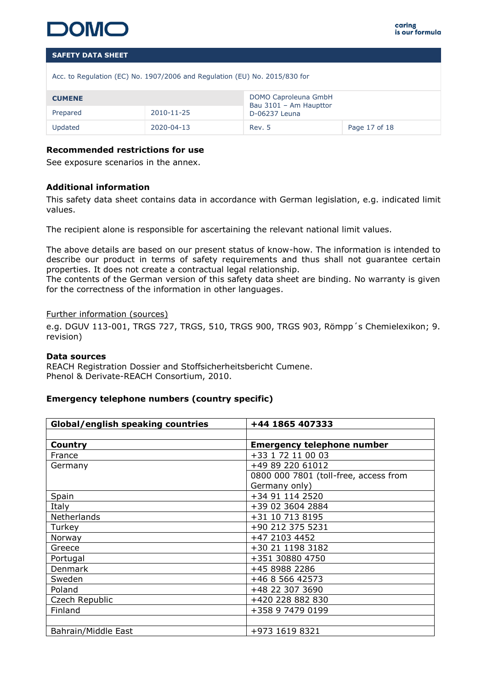

Acc. to Regulation (EC) No. 1907/2006 and Regulation (EU) No. 2015/830 for

| <b>CUMENE</b> |            | DOMO Caproleuna GmbH<br>Bau 3101 - Am Haupttor |               |
|---------------|------------|------------------------------------------------|---------------|
| Prepared      | 2010-11-25 | D-06237 Leuna                                  |               |
| Updated       | 2020-04-13 | Rev. 5                                         | Page 17 of 18 |

#### **Recommended restrictions for use**

See exposure scenarios in the annex.

#### **Additional information**

This safety data sheet contains data in accordance with German legislation, e.g. indicated limit values.

The recipient alone is responsible for ascertaining the relevant national limit values.

The above details are based on our present status of know-how. The information is intended to describe our product in terms of safety requirements and thus shall not guarantee certain properties. It does not create a contractual legal relationship.

The contents of the German version of this safety data sheet are binding. No warranty is given for the correctness of the information in other languages.

#### Further information (sources)

e.g. DGUV 113-001, TRGS 727, TRGS, 510, TRGS 900, TRGS 903, Römpp´s Chemielexikon; 9. revision)

#### **Data sources**

REACH Registration Dossier and Stoffsicherheitsbericht Cumene. Phenol & Derivate-REACH Consortium, 2010.

#### **Emergency telephone numbers (country specific)**

| <b>Global/english speaking countries</b> | +44 1865 407333                       |
|------------------------------------------|---------------------------------------|
|                                          |                                       |
| <b>Country</b>                           | <b>Emergency telephone number</b>     |
| France                                   | +33 1 72 11 00 03                     |
| Germany                                  | +49 89 220 61012                      |
|                                          | 0800 000 7801 (toll-free, access from |
|                                          | Germany only)                         |
| Spain                                    | +34 91 114 2520                       |
| Italy                                    | +39 02 3604 2884                      |
| Netherlands                              | +31 10 713 8195                       |
| Turkey                                   | +90 212 375 5231                      |
| Norway                                   | +47 2103 4452                         |
| Greece                                   | +30 21 1198 3182                      |
| Portugal                                 | +351 30880 4750                       |
| Denmark                                  | +45 8988 2286                         |
| Sweden                                   | +46 8 566 42573                       |
| Poland                                   | +48 22 307 3690                       |
| Czech Republic                           | +420 228 882 830                      |
| Finland                                  | +358 9 7479 0199                      |
|                                          |                                       |
| Bahrain/Middle East                      | +973 1619 8321                        |